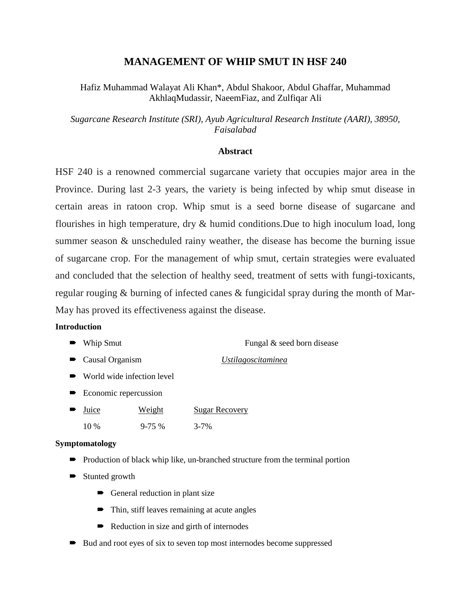# **MANAGEMENT OF WHIP SMUT IN HSF 240**

Hafiz Muhammad Walayat Ali Khan\*, Abdul Shakoor, Abdul Ghaffar, Muhammad AkhlaqMudassir, NaeemFiaz, and Zulfiqar Ali

*Sugarcane Research Institute (SRI), Ayub Agricultural Research Institute (AARI), 38950, Faisalabad*

## **Abstract**

HSF 240 is a renowned commercial sugarcane variety that occupies major area in the Province. During last 2-3 years, the variety is being infected by whip smut disease in certain areas in ratoon crop. Whip smut is a seed borne disease of sugarcane and flourishes in high temperature, dry & humid conditions.Due to high inoculum load, long summer season & unscheduled rainy weather, the disease has become the burning issue of sugarcane crop. For the management of whip smut, certain strategies were evaluated and concluded that the selection of healthy seed, treatment of setts with fungi-toxicants, regular rouging & burning of infected canes & fungicidal spray during the month of Mar-May has proved its effectiveness against the disease.

## **Introduction**

- Whip Smut Fungal & seed born disease
- Causal Organism *Ustilagoscitaminea*
- World wide infection level
- **Exercise** Economic repercussion
- $\blacksquare$  Juice Weight 10 % 9-75 % 3-7% Sugar Recovery

## **Symptomatology**

- Production of black whip like, un-branched structure from the terminal portion
- Stunted growth
	- General reduction in plant size
	- Thin, stiff leaves remaining at acute angles
	- Reduction in size and girth of internodes
- $\rightarrow$  Bud and root eyes of six to seven top most internodes become suppressed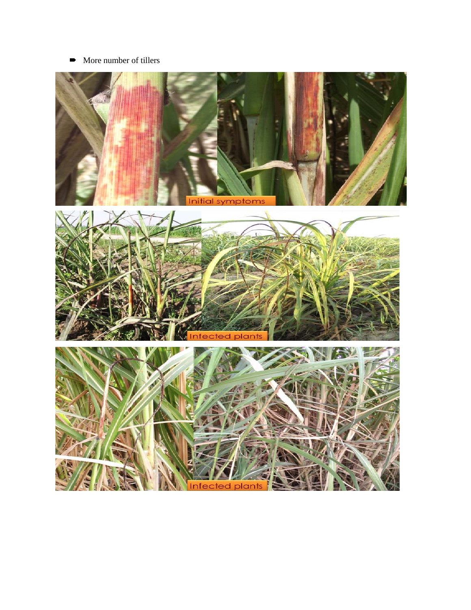• More number of tillers

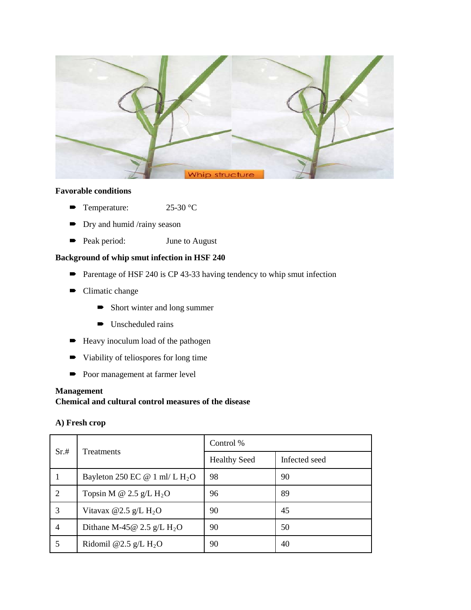

## **Favorable conditions**

- Temperature: 25-30 °C
- **Dry and humid /rainy season**
- Peak period: June to August

# **Background of whip smut infection in HSF 240**

- Parentage of HSF 240 is CP 43-33 having tendency to whip smut infection
- Climatic change
	- Short winter and long summer
	- $\rightarrow$  Unscheduled rains
- Heavy inoculum load of the pathogen
- $\rightarrow$  Viability of teliospores for long time
- Poor management at farmer level

#### **Management**

**Chemical and cultural control measures of the disease**

## **A) Fresh crop**

| Sr.#           | <b>Treatments</b>                         | Control %           |               |
|----------------|-------------------------------------------|---------------------|---------------|
|                |                                           | <b>Healthy Seed</b> | Infected seed |
|                | Bayleton 250 EC @ 1 ml/ L $H_2O$          | 98                  | 90            |
| 2              | Topsin M @ 2.5 g/L $H_2O$                 | 96                  | 89            |
| 3              | Vitavax @2.5 g/L $H_2O$                   | 90                  | 45            |
| $\overline{4}$ | Dithane M-45 $@$ 2.5 g/L H <sub>2</sub> O | 90                  | 50            |
|                | Ridomil @2.5 g/L $H_2O$                   | 90                  | 40            |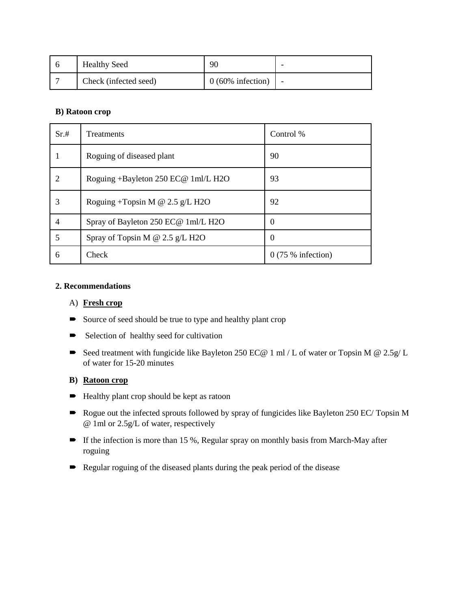| <b>Healthy Seed</b>   | 90                  |  |
|-----------------------|---------------------|--|
| Check (infected seed) | $0(60\%$ infection) |  |

### **B) Ratoon crop**

| Sr.#          | <b>Treatments</b>                      | Control %           |
|---------------|----------------------------------------|---------------------|
|               | Roguing of diseased plant              | 90                  |
| $\mathcal{D}$ | Roguing +Bayleton 250 EC@ 1ml/L H2O    | 93                  |
| 3             | Roguing +Topsin M $\omega$ 2.5 g/L H2O | 92                  |
| 4             | Spray of Bayleton 250 EC@ 1ml/L H2O    | $\Omega$            |
| 5             | Spray of Topsin M @ 2.5 g/L H2O        | $\Omega$            |
| 6             | Check                                  | $0(75\%$ infection) |

## **2. Recommendations**

### A) **Fresh crop**

- Source of seed should be true to type and healthy plant crop
- Selection of healthy seed for cultivation
- Seed treatment with fungicide like Bayleton 250 EC@ 1 ml / L of water or Topsin M @ 2.5g/ L of water for 15-20 minutes

## **B) Ratoon crop**

- $\blacktriangleright$  Healthy plant crop should be kept as ratoon
- Rogue out the infected sprouts followed by spray of fungicides like Bayleton 250 EC/ Topsin M @ 1ml or 2.5g/L of water, respectively
- If the infection is more than 15 %, Regular spray on monthly basis from March-May after roguing
- Regular roguing of the diseased plants during the peak period of the disease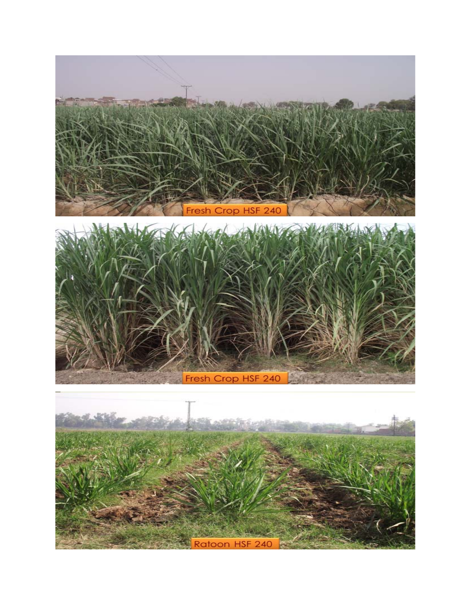